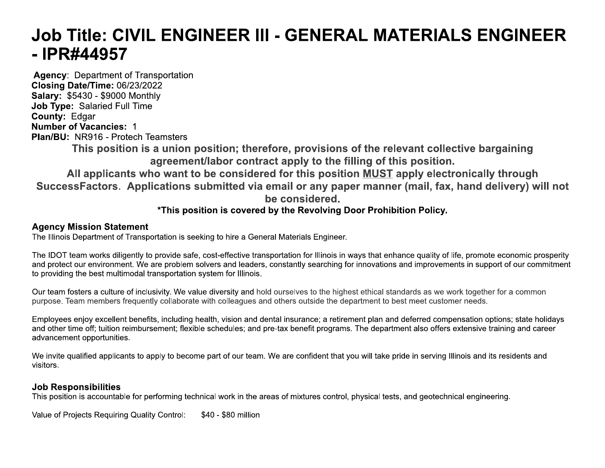# **Job Title: CIVIL ENGINEER III - GENERAL MATERIALS ENGINEER** - IPR#44957

**Agency: Department of Transportation** Closing Date/Time: 06/23/2022 **Salary: \$5430 - \$9000 Monthly** Job Type: Salaried Full Time **County: Edgar Number of Vacancies: 1** Plan/BU: NR916 - Protech Teamsters

> This position is a union position; therefore, provisions of the relevant collective bargaining agreement/labor contract apply to the filling of this position.

All applicants who want to be considered for this position MUST apply electronically through SuccessFactors. Applications submitted via email or any paper manner (mail, fax, hand delivery) will not be considered.

# \*This position is covered by the Revolving Door Prohibition Policy.

# **Agency Mission Statement**

The Illinois Department of Transportation is seeking to hire a General Materials Engineer.

The IDOT team works diligently to provide safe, cost-effective transportation for Illinois in ways that enhance quality of life, promote economic prosperity and protect our environment. We are problem solvers and leaders, constantly searching for innovations and improvements in support of our commitment to providing the best multimodal transportation system for Illinois.

Our team fosters a culture of inclusivity. We value diversity and hold ourselves to the highest ethical standards as we work together for a common purpose. Team members frequently collaborate with colleagues and others outside the department to best meet customer needs.

Employees enjoy excellent benefits, including health, vision and dental insurance; a retirement plan and deferred compensation options; state holidays and other time off; tuition reimbursement; flexible schedules; and pre-tax benefit programs. The department also offers extensive training and career advancement opportunities.

We invite qualified applicants to apply to become part of our team. We are confident that you will take pride in serving Illinois and its residents and visitors.

## **Job Responsibilities**

This position is accountable for performing technical work in the areas of mixtures control, physical tests, and geotechnical engineering.

Value of Projects Requiring Quality Control: \$40 - \$80 million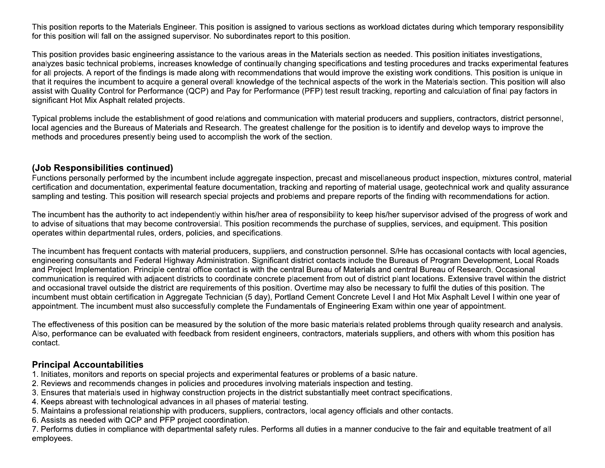This position reports to the Materials Engineer. This position is assigned to various sections as workload dictates during which temporary responsibility for this position will fall on the assigned supervisor. No subordinates report to this position.

This position provides basic engineering assistance to the various areas in the Materials section as needed. This position initiates investigations, analyzes basic technical problems, increases knowledge of continually changing specifications and testing procedures and tracks experimental features for all projects. A report of the findings is made along with recommendations that would improve the existing work conditions. This position is unique in that it requires the incumbent to acquire a general overall knowledge of the technical aspects of the work in the Materials section. This position will also assist with Quality Control for Performance (QCP) and Pay for Performance (PFP) test result tracking, reporting and calculation of final pay factors in significant Hot Mix Asphalt related projects.

Typical problems include the establishment of good relations and communication with material producers and suppliers, contractors, district personnel, local agencies and the Bureaus of Materials and Research. The greatest challenge for the position is to identify and develop ways to improve the methods and procedures presently being used to accomplish the work of the section.

#### (Job Responsibilities continued)

Functions personally performed by the incumbent include aggregate inspection, precast and miscellaneous product inspection, mixtures control, material certification and documentation, experimental feature documentation, tracking and reporting of material usage, geotechnical work and quality assurance sampling and testing. This position will research special projects and problems and prepare reports of the finding with recommendations for action.

The incumbent has the authority to act independently within his/her area of responsibility to keep his/her supervisor advised of the progress of work and to advise of situations that may become controversial. This position recommends the purchase of supplies, services, and equipment. This position operates within departmental rules, orders, policies, and specifications.

The incumbent has frequent contacts with material producers, suppliers, and construction personnel. S/He has occasional contacts with local agencies, engineering consultants and Federal Highway Administration. Significant district contacts include the Bureaus of Program Development, Local Roads and Project Implementation. Principle central office contact is with the central Bureau of Materials and central Bureau of Research. Occasional communication is required with adjacent districts to coordinate concrete placement from out of district plant locations. Extensive travel within the district and occasional travel outside the district are requirements of this position. Overtime may also be necessary to fulfil the duties of this position. The incumbent must obtain certification in Aggregate Technician (5 day), Portland Cement Concrete Level I and Hot Mix Asphalt Level I within one year of appointment. The incumbent must also successfully complete the Fundamentals of Engineering Exam within one year of appointment.

The effectiveness of this position can be measured by the solution of the more basic materials related problems through quality research and analysis. Also, performance can be evaluated with feedback from resident engineers, contractors, materials suppliers, and others with whom this position has contact.

#### **Principal Accountabilities**

- 1. Initiates, monitors and reports on special projects and experimental features or problems of a basic nature.
- 2. Reviews and recommends changes in policies and procedures involving materials inspection and testing.
- 3. Ensures that materials used in highway construction projects in the district substantially meet contract specifications.
- 4. Keeps abreast with technological advances in all phases of material testing.
- 5. Maintains a professional relationship with producers, suppliers, contractors, local agency officials and other contacts.
- 6. Assists as needed with QCP and PFP project coordination.
- 7. Performs duties in compliance with departmental safety rules. Performs all duties in a manner conducive to the fair and equitable treatment of all employees.